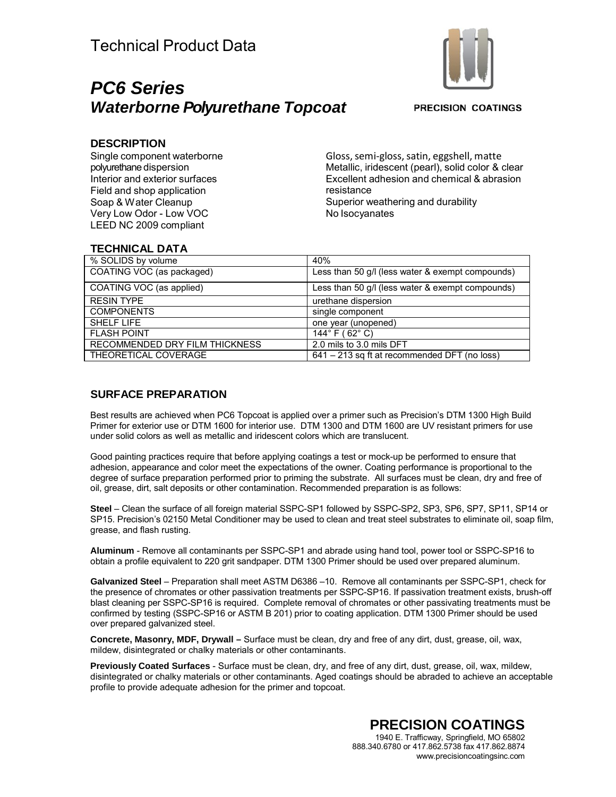# *PC6 Series Waterborne Polyurethane Topcoat*



**PRECISION COATINGS** 

### **DESCRIPTION**

Single component waterborne polyurethane dispersion Interior and exterior surfaces Field and shop application Soap & Water Cleanup Very Low Odor - Low VOC LEED NC 2009 compliant

Gloss, semi-gloss, satin, eggshell, matte Metallic, iridescent (pearl), solid color & clear Excellent adhesion and chemical & abrasion resistance Superior weathering and durability No Isocyanates

# **TECHNICAL DATA**

| % SOLIDS by volume             | 40%                                              |
|--------------------------------|--------------------------------------------------|
| COATING VOC (as packaged)      | Less than 50 g/l (less water & exempt compounds) |
| COATING VOC (as applied)       | Less than 50 g/l (less water & exempt compounds) |
| <b>RESIN TYPE</b>              | urethane dispersion                              |
| <b>COMPONENTS</b>              | single component                                 |
| <b>SHELF LIFE</b>              | one year (unopened)                              |
| <b>FLASH POINT</b>             | 144 $\degree$ F (62 $\degree$ C)                 |
| RECOMMENDED DRY FILM THICKNESS | 2.0 mils to 3.0 mils DFT                         |
| THEORETICAL COVERAGE           | 641 – 213 sq ft at recommended DFT (no loss)     |

## **SURFACE PREPARATION**

Best results are achieved when PC6 Topcoat is applied over a primer such as Precision's DTM 1300 High Build Primer for exterior use or DTM 1600 for interior use. DTM 1300 and DTM 1600 are UV resistant primers for use under solid colors as well as metallic and iridescent colors which are translucent.

Good painting practices require that before applying coatings a test or mock-up be performed to ensure that adhesion, appearance and color meet the expectations of the owner. Coating performance is proportional to the degree of surface preparation performed prior to priming the substrate. All surfaces must be clean, dry and free of oil, grease, dirt, salt deposits or other contamination. Recommended preparation is as follows:

**Steel** – Clean the surface of all foreign material SSPC-SP1 followed by SSPC-SP2, SP3, SP6, SP7, SP11, SP14 or SP15. Precision's 02150 Metal Conditioner may be used to clean and treat steel substrates to eliminate oil, soap film, grease, and flash rusting.

**Aluminum** - Remove all contaminants per SSPC-SP1 and abrade using hand tool, power tool or SSPC-SP16 to obtain a profile equivalent to 220 grit sandpaper. DTM 1300 Primer should be used over prepared aluminum.

**Galvanized Steel** – Preparation shall meet ASTM D6386 –10. Remove all contaminants per SSPC-SP1, check for the presence of chromates or other passivation treatments per SSPC-SP16. If passivation treatment exists, brush-off blast cleaning per SSPC-SP16 is required. Complete removal of chromates or other passivating treatments must be confirmed by testing (SSPC-SP16 or ASTM B 201) prior to coating application. DTM 1300 Primer should be used over prepared galvanized steel.

**Concrete, Masonry, MDF, Drywall –** Surface must be clean, dry and free of any dirt, dust, grease, oil, wax, mildew, disintegrated or chalky materials or other contaminants.

**Previously Coated Surfaces** - Surface must be clean, dry, and free of any dirt, dust, grease, oil, wax, mildew, disintegrated or chalky materials or other contaminants. Aged coatings should be abraded to achieve an acceptable profile to provide adequate adhesion for the primer and topcoat.

> **PRECISION COATINGS** 1940 E. Trafficway, Springfield, MO 65802 888.340.6780 or 417.862.5738 fax 417.862.8874 [www.precisioncoatingsinc.com](http://www.precisioncoatingsinc.com/)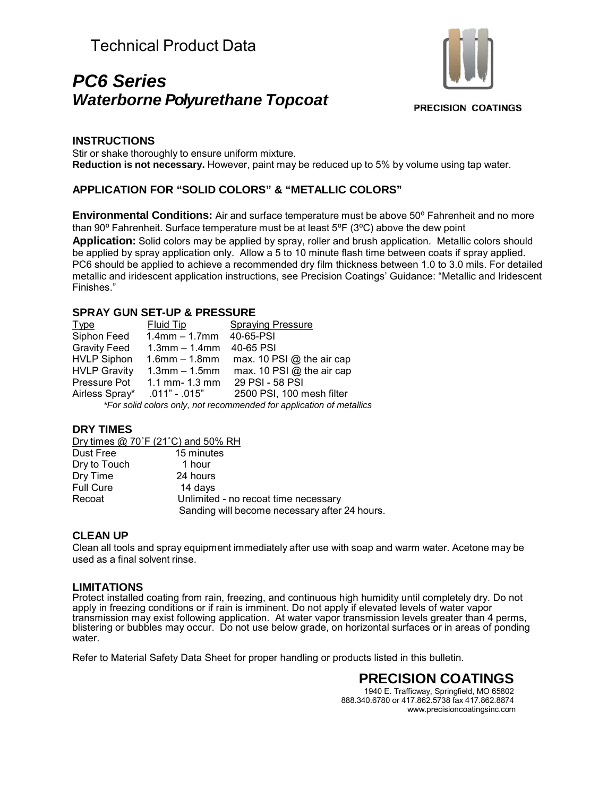# Technical Product Data

# *PC6 Series Waterborne Polyurethane Topcoat*



**PRECISION COATINGS** 

### **INSTRUCTIONS**

Stir or shake thoroughly to ensure uniform mixture. **Reduction is not necessary.** However, paint may be reduced up to 5% by volume using tap water.

### **APPLICATION FOR "SOLID COLORS" & "METALLIC COLORS"**

**Environmental Conditions:** Air and surface temperature must be above 50° Fahrenheit and no more than 90 $^{\circ}$  Fahrenheit. Surface temperature must be at least 5 $^{\circ}$ F (3 $^{\circ}$ C) above the dew point **Application:** Solid colors may be applied by spray, roller and brush application. Metallic colors should be applied by spray application only. Allow a 5 to 10 minute flash time between coats if spray applied. PC6 should be applied to achieve a recommended dry film thickness between 1.0 to 3.0 mils. For detailed metallic and iridescent application instructions, see Precision Coatings' Guidance: "Metallic and Iridescent Finishes."

### **SPRAY GUN SET-UP & PRESSURE**

Type Fluid Tip Spraying Pressure<br>Siphon Feed 1.4mm – 1.7mm 40-65-PSI  $1.4$ mm – 1.7mm  $40-65-PSI$ Gravity Feed 1.3mm – 1.4mm 40-65 PSI<br>HVLP Siphon 1.6mm – 1.8mm max. 10 P 1.6mm – 1.8mm max. 10 PSI  $@$  the air cap HVLP Gravity  $1.3$ mm – 1.5mm max. 10 PSI @ the air cap Pressure Pot 1.1 mm- 1.3 mm 29 PSI - 58 PSI Airless Spray\* .011" - .015" 2500 PSI, 100 mesh filter *\*For solid colors only, not recommended for application of metallics*

#### **DRY TIMES**

Dry times @ 70˚F (21˚C) and 50% RH

| Dust Free        | 15 minutes                                    |
|------------------|-----------------------------------------------|
| Dry to Touch     | 1 hour                                        |
| Dry Time         | 24 hours                                      |
| <b>Full Cure</b> | 14 days                                       |
| Recoat           | Unlimited - no recoat time necessary          |
|                  | Sanding will become necessary after 24 hours. |

#### **CLEAN UP**

Clean all tools and spray equipment immediately after use with soap and warm water. Acetone may be used as a final solvent rinse.

#### **LIMITATIONS**

Protect installed coating from rain, freezing, and continuous high humidity until completely dry. Do not apply in freezing conditions or if rain is imminent. Do not apply if elevated levels of water vapor transmission may exist following application. At water vapor transmission levels greater than 4 perms, blistering or bubbles may occur. Do not use below grade, on horizontal surfaces or in areas of ponding water.

Refer to Material Safety Data Sheet for proper handling or products listed in this bulletin.

 **PRECISION COATINGS** 1940 E. Trafficway, Springfield, MO 65802 888.340.6780 or 417.862.5738 fax 417.862.8874 [www.precisioncoatingsinc.com](http://www.precisioncoatingsinc.com/)